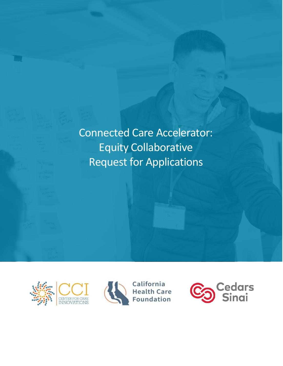

Connected Care Accelerator: Equity Collaborative Request for Applications





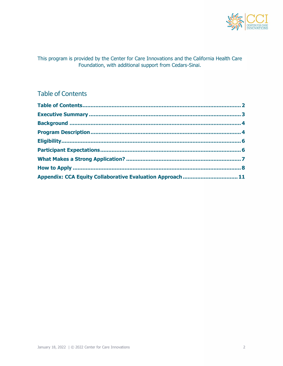

This program is provided by the Center for Care Innovations and the California Health Care Foundation, with additional support from Cedars-Sinai.

# <span id="page-1-0"></span>Table of Contents

| Appendix: CCA Equity Collaborative Evaluation Approach  11 |  |
|------------------------------------------------------------|--|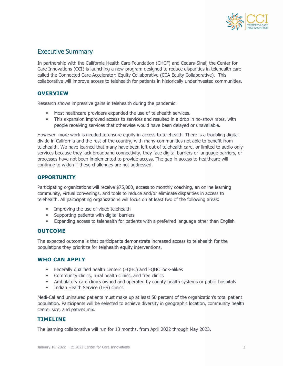

# <span id="page-2-0"></span>Executive Summary

In partnership with the California Health Care Foundation (CHCF) and Cedars-Sinai, the Center for Care Innovations (CCI) is launching a new program designed to reduce disparities in telehealth care called the Connected Care Accelerator: Equity Collaborative (CCA Equity Collaborative). This collaborative will improve access to telehealth for patients in historically underinvested communities.

#### **OVERVIEW**

Research shows impressive gains in telehealth during the pandemic:

- Most healthcare providers expanded the use of telehealth services.
- **•** This expansion improved access to services and resulted in a drop in no-show rates, with people receiving services that otherwise would have been delayed or unavailable.

However, more work is needed to ensure equity in access to telehealth. There is a troubling digital divide in California and the rest of the country, with many communities not able to benefit from telehealth. We have learned that many have been left out of telehealth care, or limited to audio only services because they lack broadband connectivity, they face digital barriers or language barriers, or processes have not been implemented to provide access. The gap in access to healthcare will continue to widen if these challenges are not addressed.

#### **OPPORTUNITY**

Participating organizations will receive \$75,000, access to monthly coaching, an online learning community, virtual convenings, and tools to reduce and/or eliminate disparities in access to telehealth. All participating organizations will focus on at least two of the following areas:

- **■** Improving the use of video telehealth
- **EXECUTE:** Supporting patients with digital barriers
- **Expanding access to telehealth for patients with a preferred language other than English**

#### **OUTCOME**

The expected outcome is that participants demonstrate increased access to telehealth for the populations they prioritize for telehealth equity interventions.

#### **WHO CAN APPLY**

- **EXECTER** Federally qualified health centers (FQHC) and FQHC look-alikes
- **•** Community clinics, rural health clinics, and free clinics
- **•** Ambulatory care clinics owned and operated by county health systems or public hospitals
- **■** Indian Health Service (IHS) clinics

Medi-Cal and uninsured patients must make up at least 50 percent of the organization's total patient population. Participants will be selected to achieve diversity in geographic location, community health center size, and patient mix.

#### **TIMELINE**

The learning collaborative will run for 13 months, from April 2022 through May 2023.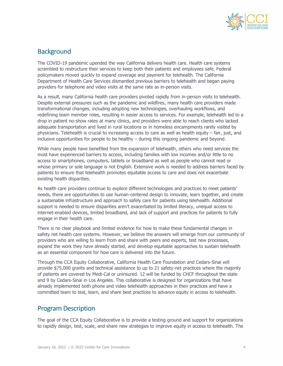

# <span id="page-3-0"></span>**Background**

The COVID-19 pandemic upended the way California delivers health care. Health care systems scrambled to restructure their services to keep both their patients and employees safe. Federal policymakers moved quickly to expand coverage and payment for telehealth. The California Department of Health Care Services dismantled previous barriers to telehealth and began paying providers for telephone and video visits at the same rate as in-person visits.

As a result, many California health care providers pivoted rapidly from in-person visits to telehealth. Despite external pressures such as the pandemic and wildfires, many health care providers made transformational changes, including adopting new technologies, overhauling workflows, and redefining team member roles, resulting in easier access to services. For example, telehealth led to a drop in patient no-show rates at many clinics, and providers were able to reach clients who lacked adequate transportation and lived in rural locations or in homeless encampments rarely visited by physicians. Telehealth is crucial to increasing access to care as well as health equity – fair, just, and inclusive opportunities for people to be healthy – during this ongoing pandemic and beyond.

While many people have benefited from the expansion of telehealth, others who need services the most have experienced barriers to access, including families with low incomes and/or little to no access to smartphones, computers, tablets or broadband as well as people who cannot read or whose primary or sole language is not English. Extensive work is needed to address barriers faced by patients to ensure that telehealth promotes equitable access to care and does not exacerbate existing health disparities.

As health care providers continue to explore different technologies and practices to meet patients' needs, there are opportunities to use human-centered design to innovate, learn together, and create a sustainable infrastructure and approach to safely care for patients using telehealth. Additional support is needed to ensure disparities aren't exacerbated by limited literacy, unequal access to internet-enabled devices, limited broadband, and lack of support and practices for patients to fully engage in their health care.

There is no clear playbook and limited evidence for how to make these fundamental changes in safety net health care systems. However, we believe the answers will emerge from our community of providers who are willing to learn from and share with peers and experts, test new processes, expand the work they have already started, and develop equitable approaches to sustain telehealth as an essential component for how care is delivered into the future.

Through the CCA Equity Collaborative, California Health Care Foundation and Cedars-Sinai will provide \$75,000 grants and technical assistance to up to 21 safety-net practices where the majority of patients are covered by Medi-Cal or uninsured. 12 will be funded by CHCF throughout the state and 9 by Cedars-Sinai in Los Angeles. This collaborative is designed for organizations that have already implemented both phone and video telehealth approaches in their practices and have a committed team to test, learn, and share best practices to advance equity in access to telehealth.

### <span id="page-3-1"></span>Program Description

The goal of the CCA Equity Collaborative is to provide a testing ground and support for organizations to rapidly design, test, scale, and share new strategies to improve equity in access to telehealth. The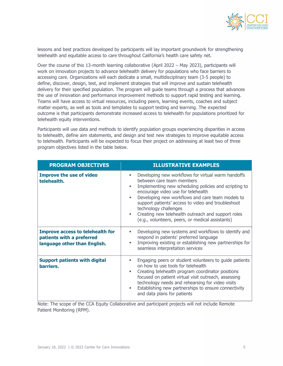

lessons and best practices developed by participants will lay important groundwork for strengthening telehealth and equitable access to care throughout California's health care safety net.

Over the course of this 13-month learning collaborative (April 2022 – May 2023), participants will work on innovation projects to advance telehealth delivery for populations who face barriers to accessing care. Organizations will each dedicate a small, multidisciplinary team (3-5 people) to define, discover, design, test, and implement strategies that will improve and sustain telehealth delivery for their specified population. The program will guide teams through a process that advances the use of innovation and performance improvement methods to support rapid testing and learning. Teams will have access to virtual resources, including peers, learning events, coaches and subject matter experts, as well as tools and templates to support testing and learning. The expected outcome is that participants demonstrate increased access to telehealth for populations prioritized for telehealth equity interventions.

Participants will use data and methods to identify population groups experiencing disparities in access to telehealth, define aim statements, and design and test new strategies to improve equitable access to telehealth. Participants will be expected to focus their project on addressing at least two of three program objectives listed in the table below.

| <b>PROGRAM OBJECTIVES</b>                                                                            | <b>ILLUSTRATIVE EXAMPLES</b>                                                                                                                                                                                                                                                                                                                                                                                                               |
|------------------------------------------------------------------------------------------------------|--------------------------------------------------------------------------------------------------------------------------------------------------------------------------------------------------------------------------------------------------------------------------------------------------------------------------------------------------------------------------------------------------------------------------------------------|
| <b>Improve the use of video</b><br>telehealth.                                                       | Developing new workflows for virtual warm handoffs<br>ш<br>between care team members<br>Implementing new scheduling policies and scripting to<br>encourage video use for telehealth<br>Developing new workflows and care team models to<br>٠<br>support patients' access to video and troubleshoot<br>technology challenges<br>Creating new telehealth outreach and support roles<br>٠<br>(e.g., volunteers, peers, or medical assistants) |
| <b>Improve access to telehealth for</b><br>patients with a preferred<br>language other than English. | Developing new systems and workflows to identify and<br>٠<br>respond in patients' preferred language<br>Improving existing or establishing new partnerships for<br>seamless interpretation services                                                                                                                                                                                                                                        |
| <b>Support patients with digital</b><br>barriers.                                                    | Engaging peers or student volunteers to guide patients<br>٠<br>on how to use tools for telehealth<br>Creating telehealth program coordinator positions<br>٠<br>focused on patient virtual visit outreach, assessing<br>technology needs and rehearsing for video visits<br>Establishing new partnerships to ensure connectivity<br>٠<br>and data plans for patients                                                                        |

Note: The scope of the CCA Equity Collaborative and participant projects will not include Remote Patient Monitoring (RPM).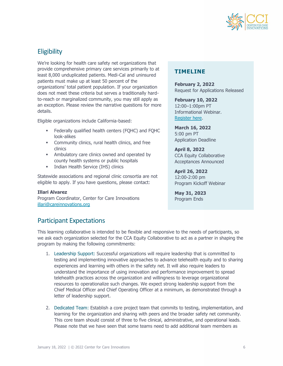

# <span id="page-5-0"></span>**Eligibility**

We're looking for health care safety net organizations that provide comprehensive primary care services primarily to at least 8,000 unduplicated patients. Medi-Cal and uninsured patients must make up at least 50 percent of the organizations' total patient population. If your organization does not meet these criteria but serves a traditionally hardto-reach or marginalized community, you may still apply as an exception. Please review the narrative questions for more details.

Eligible organizations include California-based:

- Federally qualified health centers (FQHC) and FQHC look-alikes
- **•** Community clinics, rural health clinics, and free clinics
- **EXECUTE:** Ambulatory care clinics owned and operated by county health systems or public hospitals
- **■** Indian Health Service (IHS) clinics

Statewide associations and regional clinic consortia are not eligible to apply. If you have questions, please contact:

#### **Illari Alvarez**

Program Coordinator, Center for Care Innovations [illari@careinnovations.org](mailto:illari@careinnovations.org)

# **TIMELINE**

**February 2, 2022** Request for Applications Released

**February 10, 2022** 12:00–1:00pm PT Informational Webinar. [Register here.](https://www.careinnovations.org/events/connected-care-2022/)

**March 16, 2022** 5:00 pm PT Application Deadline

**April 8, 2022** CCA Equity Collaborative Acceptances Announced

**April 26, 2022** 12:00-2:00 pm Program Kickoff Webinar

**May 31, 2023** Program Ends

# <span id="page-5-1"></span>Participant Expectations

This learning collaborative is intended to be flexible and responsive to the needs of participants, so we ask each organization selected for the CCA Equity Collaborative to act as a partner in shaping the program by making the following commitments:

- 1. Leadership Support: Successful organizations will require leadership that is committed to testing and implementing innovative approaches to advance telehealth equity and to sharing experiences and learning with others in the safety net. It will also require leaders to understand the importance of using innovation and performance improvement to spread telehealth practices across the organization and willingness to leverage organizational resources to operationalize such changes. We expect strong leadership support from the Chief Medical Officer and Chief Operating Officer at a minimum, as demonstrated through a letter of leadership support.
- 2. Dedicated Team: Establish a core project team that commits to testing, implementation, and learning for the organization and sharing with peers and the broader safety net community. This core team should consist of three to five clinical, administrative, and operational leads. Please note that we have seen that some teams need to add additional team members as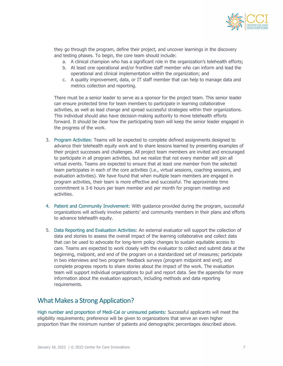

they go through the program, define their project, and uncover learnings in the discovery and testing phases. To begin, the core team should include:

- a. A clinical champion who has a significant role in the organization's telehealth efforts;
- b. At least one operational and/or frontline staff member who can inform and lead the operational and clinical implementation within the organization; and
- c. A quality improvement, data, or IT staff member that can help to manage data and metrics collection and reporting.

There must be a senior leader to serve as a sponsor for the project team. This senior leader can ensure protected time for team members to participate in learning collaborative activities, as well as lead change and spread successful strategies within their organizations. This individual should also have decision-making authority to move telehealth efforts forward. It should be clear how the participating team will keep the senior leader engaged in the progress of the work.

- 3. Program Activities: Teams will be expected to complete defined assignments designed to advance their telehealth equity work and to share lessons learned by presenting examples of their project successes and challenges. All project team members are invited and encouraged to participate in all program activities, but we realize that not every member will join all virtual events. Teams are expected to ensure that at least one member from the selected team participates in each of the core activities (i.e., virtual sessions, coaching sessions, and evaluation activities). We have found that when multiple team members are engaged in program activities, their team is more effective and successful. The approximate time commitment is 3-6 hours per team member and per month for program meetings and activities.
- 4. Patient and Community Involvement: With guidance provided during the program, successful organizations will actively involve patients' and community members in their plans and efforts to advance telehealth equity.
- 5. Data Reporting and Evaluation Activities: An external evaluator will support the collection of data and stories to assess the overall impact of the learning collaborative and collect data that can be used to advocate for long-term policy changes to sustain equitable access to care. Teams are expected to work closely with the evaluator to collect and submit data at the beginning, midpoint, and end of the program on a standardized set of measures; participate in two interviews and two program feedback surveys (program midpoint and end), and complete progress reports to share stories about the impact of the work. The evaluation team will support individual organizations to pull and report data. See the appendix for more information about the evaluation approach, including methods and data reporting requirements.

# <span id="page-6-0"></span>What Makes a Strong Application?

High number and proportion of Medi-Cal or uninsured patients: Successful applicants will meet the eligibility requirements; preference will be given to organizations that serve an even higher proportion than the minimum number of patients and demographic percentages described above.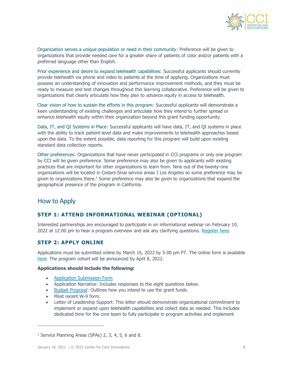

Organization serves a unique population or need in their community: Preference will be given to organizations that provide needed care for a greater share of patients of color and/or patients with a preferred language other than English.

Prior experience and desire to expand telehealth capabilities: Successful applicants should currently provide telehealth via phone and video to patients at the time of applying. Organizations must possess an understanding of innovation and performance improvement methods, and they must be ready to measure and test changes throughout this learning collaborative. Preference will be given to organizations that clearly articulate how they plan to advance equity in access to telehealth.

Clear vision of how to sustain the efforts in this program: Successful applicants will demonstrate a keen understanding of existing challenges and articulate how they intend to further spread or enhance telehealth equity within their organization beyond this grant funding opportunity.

Data, IT, and QI Systems in Place: Successful applicants will have data, IT, and QI systems in place with the ability to track patient-level data and make improvements to telehealth approaches based upon the data. To the extent possible, data reporting for this program will build upon existing standard data collection reports.

Other preferences: Organizations that have never participated in CCI programs or only one program by CCI will be given preference. Some preference may also be given to applicants with existing practices that are important for other organizations to learn from. Nine out of the twenty-one organizations will be located in Cedars-Sinai service areas I Los Angeles so some preference may be given to organizations there. <sup>1</sup> Some preference may also be given to organizations that expand the geographical presence of the program in California.

### <span id="page-7-0"></span>How to Apply

### **STEP 1: ATTEND INFORMATIONAL WEBINAR (OPTIONAL)**

Interested partnerships are encouraged to participate in an informational webinar on February 10, 2022 at 12:00 pm to hear a program overview and ask any clarifying questions. [Register here.](https://www.careinnovations.org/events/connected-care-2022/)

#### **STEP 2: APPLY ONLINE**

Applications must be submitted online by March 16, 2022 by 5:00 pm PT. The online form is available [here.](http://www.careinnovations.org/connected-care-2022/apply) The program cohort will be announced by April 8, 2022.

#### **Applications should include the following:**

- [Application Submission Form](http://www.careinnovations.org/connected-care-2022/apply)
- Application Narrative: Includes responses to the eight questions below.
- [Budget Proposal:](https://www.careinnovations.org/wp-content/uploads/CCA_Equity_Collaborative_2022_Budget.xlsx) Outlines how you intend to use the grant funds.
- Most recent W-9 form.
- Letter of Leadership Support: This letter should demonstrate organizational commitment to implement or expand upon telehealth capabilities and collect data as needed. This includes dedicated time for the core team to fully participate in program activities and implement

<sup>&</sup>lt;sup>1</sup> Service Planning Areas (SPAs) 2, 3, 4, 5, 6 and 8.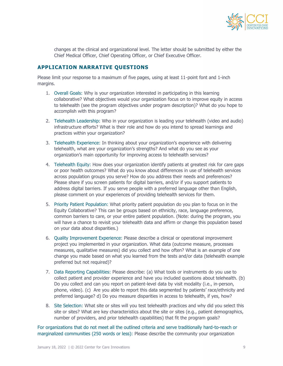

changes at the clinical and organizational level. The letter should be submitted by either the Chief Medical Officer, Chief Operating Officer, or Chief Executive Officer.

#### **APPLICATION NARRATIVE QUESTIONS**

Please limit your response to a maximum of five pages, using at least 11-point font and 1-inch margins.

- 1. Overall Goals: Why is your organization interested in participating in this learning collaborative? What objectives would your organization focus on to improve equity in access to telehealth (see the program objectives under program description)? What do you hope to accomplish with this program?
- 2. Telehealth Leadership: Who in your organization is leading your telehealth (video and audio) infrastructure efforts? What is their role and how do you intend to spread learnings and practices within your organization?
- 3. Telehealth Experience: In thinking about your organization's experience with delivering telehealth, what are your organization's strengths? And what do you see as your organization's main opportunity for improving access to telehealth services?
- 4. Telehealth Equity: How does your organization identify patients at greatest risk for care gaps or poor health outcomes? What do you know about differences in use of telehealth services across population groups you serve? How do you address their needs and preferences? Please share if you screen patients for digital barriers, and/or if you support patients to address digital barriers. If you serve people with a preferred language other than English, please comment on your experiences of providing telehealth services for them.
- 5. Priority Patient Population: What priority patient population do you plan to focus on in the Equity Collaborative? This can be groups based on ethnicity, race, language preference, common barriers to care, or your entire patient population. (Note: during the program, you will have a chance to revisit your telehealth data and affirm or change this population based on your data about disparities.)
- 6. Quality Improvement Experience: Please describe a clinical or operational improvement project you implemented in your organization. What data (outcome measure, processes measures, qualitative measures) did you collect and how often? What is an example of one change you made based on what you learned from the tests and/or data (telehealth example preferred but not required)?
- 7. Data Reporting Capabilities: Please describe: (a) What tools or instruments do you use to collect patient and provider experience and have you included questions about telehealth. (b) Do you collect and can you report on patient-level data by visit modality (i.e., in-person, phone, video). (c) Are you able to report this data segmented by patients' race/ethnicity and preferred language? d) Do you measure disparities in access to telehealth, if yes, how?
- 8. Site Selection: What site or sites will you test telehealth practices and why did you select this site or sites? What are key characteristics about the site or sites (e.g., patient demographics, number of providers, and prior telehealth capabilities) that fit the program goals?

For organizations that do not meet all the outlined criteria and serve traditionally hard-to-reach or marginalized communities (250 words or less): Please describe the community your organization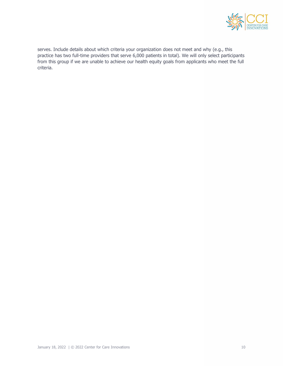

serves. Include details about which criteria your organization does not meet and why (e.g., this practice has two full-time providers that serve 6,000 patients in total). We will only select participants from this group if we are unable to achieve our health equity goals from applicants who meet the full criteria.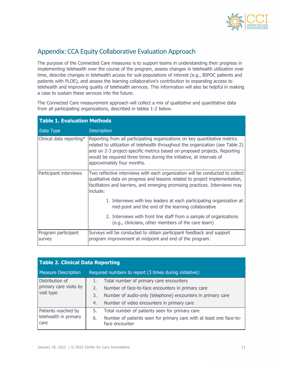

# <span id="page-10-0"></span>Appendix: CCA Equity Collaborative Evaluation Approach

The purpose of the Connected Care measures is to support teams in understanding their progress in implementing telehealth over the course of the program, assess changes in telehealth utilization over time, describe changes in telehealth access for sub-populations of interest (e.g., BIPOC patients and patients with PLOE), and assess the learning collaborative's contribution to expanding access to telehealth and improving quality of telehealth services. This information will also be helpful in making a case to sustain these services into the future.

The Connected Care measurement approach will collect a mix of qualitative and quantitative data from all participating organizations, described in tables 1-2 below.

| <b>Table 1. Evaluation Methods</b> |                                                                                                                                                                                                                                                                                                                                                 |  |  |  |  |
|------------------------------------|-------------------------------------------------------------------------------------------------------------------------------------------------------------------------------------------------------------------------------------------------------------------------------------------------------------------------------------------------|--|--|--|--|
| Data Type                          | <b>Description</b>                                                                                                                                                                                                                                                                                                                              |  |  |  |  |
| Clinical data reporting*           | Reporting from all participating organizations on key quantitative metrics<br>related to utilization of telehealth throughout the organization (see Table 2)<br>and on 2-3 project-specific metrics based on proposed projects. Reporting<br>would be required three times during the initiative, at intervals of<br>approximately four months. |  |  |  |  |
| Participant interviews             | Two reflective interviews with each organization will be conducted to collect<br>qualitative data on progress and lessons related to project implementation,<br>facilitators and barriers, and emerging promising practices. Interviews may<br>include:                                                                                         |  |  |  |  |
|                                    | 1. Interviews with key leaders at each participating organization at<br>mid-point and the end of the learning collaborative                                                                                                                                                                                                                     |  |  |  |  |
|                                    | 2. Interviews with front line staff from a sample of organizations<br>(e.g., clinicians, other members of the care team)                                                                                                                                                                                                                        |  |  |  |  |
| Program participant<br>survey      | Surveys will be conducted to obtain participant feedback and support<br>program improvement at midpoint and end of the program.                                                                                                                                                                                                                 |  |  |  |  |

| <b>Table 2. Clinical Data Reporting</b>                 |    |                                                                                       |  |  |  |
|---------------------------------------------------------|----|---------------------------------------------------------------------------------------|--|--|--|
| <b>Measure Description</b>                              |    | Required numbers to report (3 times during initiative):                               |  |  |  |
| Distribution of<br>primary care visits by<br>visit type | 1. | Total number of primary care encounters                                               |  |  |  |
|                                                         | 2. | Number of face-to-face encounters in primary care                                     |  |  |  |
|                                                         | 3. | Number of audio-only (telephone) encounters in primary care                           |  |  |  |
|                                                         | 4. | Number of video encounters in primary care                                            |  |  |  |
| Patients reached by<br>telehealth in primary<br>care    | 5. | Total number of patients seen for primary care                                        |  |  |  |
|                                                         | 6. | Number of patients seen for primary care with at least one face-to-<br>face encounter |  |  |  |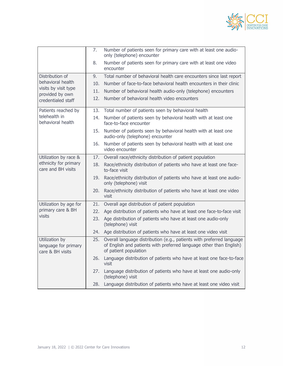

|                                                            | 7.  | Number of patients seen for primary care with at least one audio-<br>only (telephone) encounter                                                                       |
|------------------------------------------------------------|-----|-----------------------------------------------------------------------------------------------------------------------------------------------------------------------|
|                                                            | 8.  | Number of patients seen for primary care with at least one video<br>encounter                                                                                         |
| Distribution of                                            | 9.  | Total number of behavioral health care encounters since last report                                                                                                   |
| behavioral health                                          | 10. | Number of face-to-face behavioral health encounters in their clinic                                                                                                   |
| visits by visit type<br>provided by own                    | 11. | Number of behavioral health audio-only (telephone) encounters                                                                                                         |
| credentialed staff                                         | 12. | Number of behavioral health video encounters                                                                                                                          |
| Patients reached by                                        | 13. | Total number of patients seen by behavioral health                                                                                                                    |
| telehealth in<br>behavioral health                         | 14. | Number of patients seen by behavioral health with at least one<br>face-to-face encounter                                                                              |
|                                                            | 15. | Number of patients seen by behavioral health with at least one<br>audio-only (telephone) encounter                                                                    |
|                                                            | 16. | Number of patients seen by behavioral health with at least one<br>video encounter                                                                                     |
| Utilization by race &                                      | 17. | Overall race/ethnicity distribution of patient population                                                                                                             |
| ethnicity for primary<br>care and BH visits                | 18. | Race/ethnicity distribution of patients who have at least one face-<br>to-face visit                                                                                  |
|                                                            | 19. | Race/ethnicity distribution of patients who have at least one audio-<br>only (telephone) visit                                                                        |
|                                                            | 20. | Race/ethnicity distribution of patients who have at least one video<br>visit                                                                                          |
| Utilization by age for                                     | 21. | Overall age distribution of patient population                                                                                                                        |
| primary care & BH                                          | 22. | Age distribution of patients who have at least one face-to-face visit                                                                                                 |
| visits                                                     | 23. | Age distribution of patients who have at least one audio-only<br>(telephone) visit                                                                                    |
|                                                            | 24. | Age distribution of patients who have at least one video visit                                                                                                        |
| Utilization by<br>language for primary<br>care & BH visits | 25. | Overall language distribution (e.g., patients with preferred language<br>of English and patients with preferred language other than English)<br>of patient population |
|                                                            | 26. | Language distribution of patients who have at least one face-to-face<br>visit                                                                                         |
|                                                            | 27. | Language distribution of patients who have at least one audio-only<br>(telephone) visit                                                                               |
|                                                            | 28. | Language distribution of patients who have at least one video visit                                                                                                   |